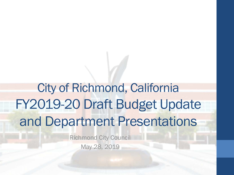# City of Richmond, California FY2019-20 Draft Budget Update and Department Presentations

Richmond City Council May 28, 2019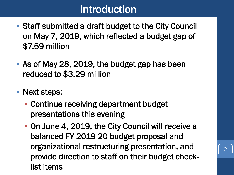#### Introduction

- Staff submitted a draft budget to the City Council on May 7, 2019, which reflected a budget gap of \$7.59 million
- As of May 28, 2019, the budget gap has been reduced to \$3.29 million
- Next steps:
	- Continue receiving department budget presentations this evening
	- On June 4, 2019, the City Council will receive a balanced FY 2019-20 budget proposal and organizational restructuring presentation, and provide direction to staff on their budget checklist items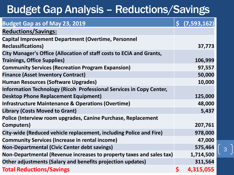# Budget Gap Analysis – Reductions/Savings

| <b>Budget Gap as of May 23, 2019</b>                                 | (7,593,162)     |
|----------------------------------------------------------------------|-----------------|
| <b>Reductions/Savings:</b>                                           |                 |
| <b>Capital Improvement Department (Overtime, Personnel</b>           |                 |
| <b>Reclassifications)</b>                                            | 37,773          |
| City Manager's Office (Allocation of staff costs to ECIA and Grants, |                 |
| <b>Trainings, Office Supplies)</b>                                   | 106,999         |
| <b>Community Services (Recreation Program Expansion)</b>             | 97,557          |
| <b>Finance (Asset Inventory Contract)</b>                            | 50,000          |
| <b>Human Resources (Software Upgrades)</b>                           | 10,000          |
| Information Technology (Ricoh Professional Services in Copy Center,  |                 |
| <b>Desktop Phone Replacement Equipment)</b>                          | 125,000         |
| <b>Infrastructure Maintenance &amp; Operations (Overtime)</b>        | 48,000          |
| <b>Library (Costs Moved to Grant)</b>                                | 5,437           |
| Police (Interview room upgrades, Canine Purchase, Replacement        |                 |
| Computers)                                                           | 207,761         |
| City-wide (Reduced vehicle replacement, including Police and Fire)   | 978,000         |
| <b>Community Services (Increase in rental income)</b>                | 47,000          |
| <b>Non-Departmental (Civic Center debt savings)</b>                  | 575,464         |
| Non-Departmental (Revenue increases to property taxes and sales tax) | 1,714,500       |
| Other adjustments (Salary and benefits projection updates)           | 311,564         |
| <b>Total Reductions/Savings</b>                                      | \$<br>4,315,055 |

3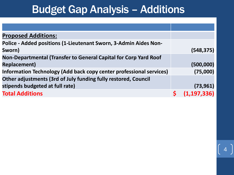#### Budget Gap Analysis – Additions

| <b>Proposed Additions:</b>                                          |   |               |
|---------------------------------------------------------------------|---|---------------|
| Police - Added positions (1-Lieutenant Sworn, 3-Admin Aides Non-    |   |               |
| Sworn)                                                              |   | (548, 375)    |
| Non-Departmental (Transfer to General Capital for Corp Yard Roof    |   |               |
| <b>Replacement)</b>                                                 |   | (500,000)     |
| Information Technology (Add back copy center professional services) |   | (75,000)      |
| Other adjustments (3rd of July funding fully restored, Council      |   |               |
| stipends budgeted at full rate)                                     |   | (73, 961)     |
| <b>Total Additions</b>                                              | Ś | (1, 197, 336) |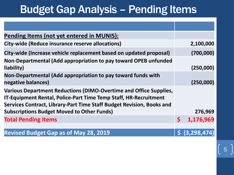# Budget Gap Analysis – Pending Items

| Pending Items (not yet entered in MUNIS):                                                                                                                                                                             |              |                        |
|-----------------------------------------------------------------------------------------------------------------------------------------------------------------------------------------------------------------------|--------------|------------------------|
| City-wide (Reduce insurance reserve allocations)                                                                                                                                                                      |              | 2,100,000              |
| City-wide (Increase vehicle replacement based on updated proposal)                                                                                                                                                    |              | (700,000)              |
| Non-Departmental (Add appropriation to pay toward OPEB unfunded<br>liability)                                                                                                                                         |              | (250,000)              |
| Non-Departmental (Add appropriation to pay toward funds with<br>negative balances)                                                                                                                                    |              | (250,000)              |
| <b>Various Department Reductions (DIMO-Overtime and Office Supplies,</b><br>IT-Equipment Rental, Police-Part Time Temp Staff, HR-Recruitment<br>Services Contract, Library-Part Time Staff Budget Revision, Books and |              | 276,969                |
| <b>Subscriptions Budget Moved to Other Funds)</b>                                                                                                                                                                     |              |                        |
| <b>Total Pending Items</b>                                                                                                                                                                                            | $\mathsf{S}$ | 1,176,969              |
|                                                                                                                                                                                                                       |              |                        |
| <b>Revised Budget Gap as of May 28, 2019</b>                                                                                                                                                                          |              | $\vert$ \$ (3,298,474) |

5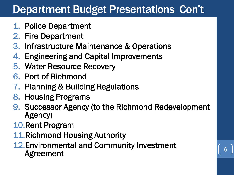# Department Budget Presentations Con't

- 1. Police Department
- 2. Fire Department
- 3. Infrastructure Maintenance & Operations
- 4. Engineering and Capital Improvements
- 5. Water Resource Recovery
- 6. Port of Richmond
- 7. Planning & Building Regulations
- 8. Housing Programs
- 9. Successor Agency (to the Richmond Redevelopment Agency)

6

- 10.Rent Program
- 11.Richmond Housing Authority
- 12.Environmental and Community Investment Agreement